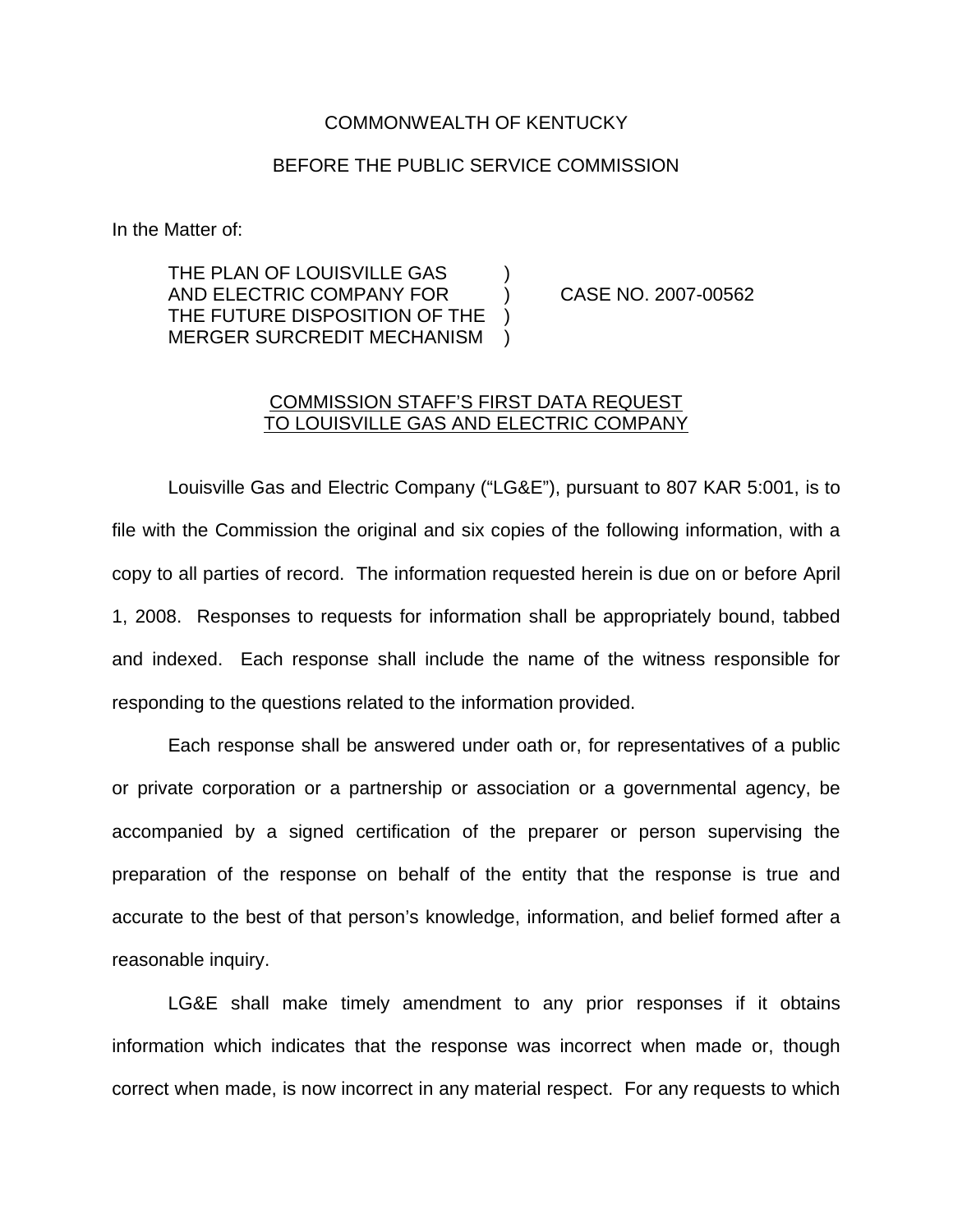## COMMONWEALTH OF KENTUCKY

## BEFORE THE PUBLIC SERVICE COMMISSION

In the Matter of:

THE PLAN OF LOUISVILLE GAS AND ELECTRIC COMPANY FOR ) CASE NO. 2007-00562 THE FUTURE DISPOSITION OF THE MERGER SURCREDIT MECHANISM )

## COMMISSION STAFF'S FIRST DATA REQUEST TO LOUISVILLE GAS AND ELECTRIC COMPANY

Louisville Gas and Electric Company ("LG&E"), pursuant to 807 KAR 5:001, is to file with the Commission the original and six copies of the following information, with a copy to all parties of record. The information requested herein is due on or before April 1, 2008. Responses to requests for information shall be appropriately bound, tabbed and indexed. Each response shall include the name of the witness responsible for responding to the questions related to the information provided.

Each response shall be answered under oath or, for representatives of a public or private corporation or a partnership or association or a governmental agency, be accompanied by a signed certification of the preparer or person supervising the preparation of the response on behalf of the entity that the response is true and accurate to the best of that person's knowledge, information, and belief formed after a reasonable inquiry.

LG&E shall make timely amendment to any prior responses if it obtains information which indicates that the response was incorrect when made or, though correct when made, is now incorrect in any material respect. For any requests to which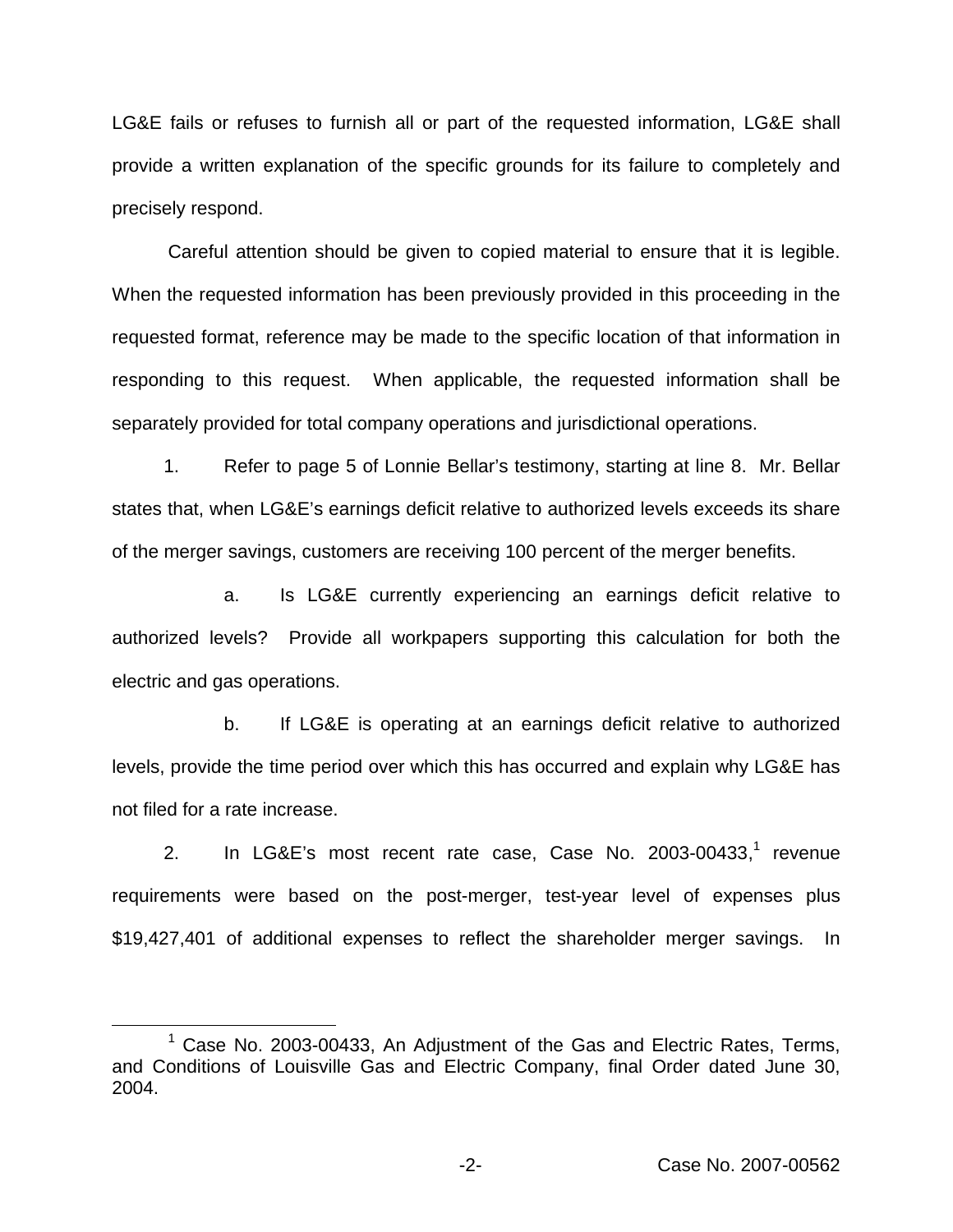LG&E fails or refuses to furnish all or part of the requested information, LG&E shall provide a written explanation of the specific grounds for its failure to completely and precisely respond.

Careful attention should be given to copied material to ensure that it is legible. When the requested information has been previously provided in this proceeding in the requested format, reference may be made to the specific location of that information in responding to this request. When applicable, the requested information shall be separately provided for total company operations and jurisdictional operations.

1. Refer to page 5 of Lonnie Bellar's testimony, starting at line 8. Mr. Bellar states that, when LG&E's earnings deficit relative to authorized levels exceeds its share of the merger savings, customers are receiving 100 percent of the merger benefits.

a. Is LG&E currently experiencing an earnings deficit relative to authorized levels? Provide all workpapers supporting this calculation for both the electric and gas operations.

b. If LG&E is operating at an earnings deficit relative to authorized levels, provide the time period over which this has occurred and explain why LG&E has not filed for a rate increase.

2. In LG&E's most recent rate case, Case No. 2003-00433,<sup>1</sup> revenue requirements were based on the post-merger, test-year level of expenses plus \$19,427,401 of additional expenses to reflect the shareholder merger savings. In

 $1$  Case No. 2003-00433, An Adjustment of the Gas and Electric Rates, Terms, and Conditions of Louisville Gas and Electric Company, final Order dated June 30, 2004.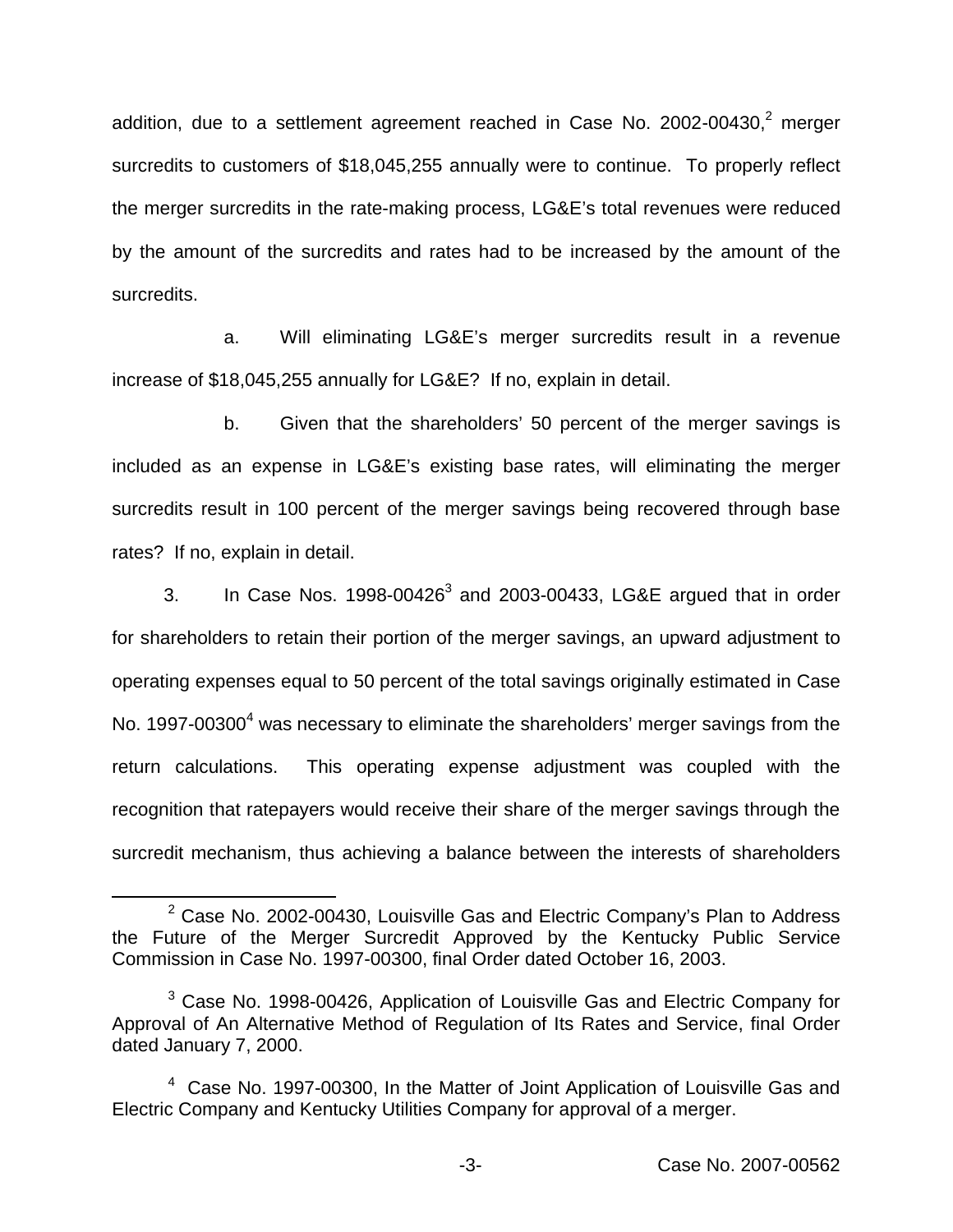addition, due to a settlement agreement reached in Case No.  $2002-00430$ , $2$  merger surcredits to customers of \$18,045,255 annually were to continue. To properly reflect the merger surcredits in the rate-making process, LG&E's total revenues were reduced by the amount of the surcredits and rates had to be increased by the amount of the surcredits.

a. Will eliminating LG&E's merger surcredits result in a revenue increase of \$18,045,255 annually for LG&E? If no, explain in detail.

b. Given that the shareholders' 50 percent of the merger savings is included as an expense in LG&E's existing base rates, will eliminating the merger surcredits result in 100 percent of the merger savings being recovered through base rates? If no, explain in detail.

3. In Case Nos.  $1998-00426^3$  and  $2003-00433$ , LG&E argued that in order for shareholders to retain their portion of the merger savings, an upward adjustment to operating expenses equal to 50 percent of the total savings originally estimated in Case No. 1997-00300 $^4$  was necessary to eliminate the shareholders' merger savings from the return calculations. This operating expense adjustment was coupled with the recognition that ratepayers would receive their share of the merger savings through the surcredit mechanism, thus achieving a balance between the interests of shareholders

 $2$  Case No. 2002-00430, Louisville Gas and Electric Company's Plan to Address the Future of the Merger Surcredit Approved by the Kentucky Public Service Commission in Case No. 1997-00300, final Order dated October 16, 2003.

 $3$  Case No. 1998-00426, Application of Louisville Gas and Electric Company for Approval of An Alternative Method of Regulation of Its Rates and Service, final Order dated January 7, 2000.

<sup>4</sup> Case No. 1997-00300, In the Matter of Joint Application of Louisville Gas and Electric Company and Kentucky Utilities Company for approval of a merger.